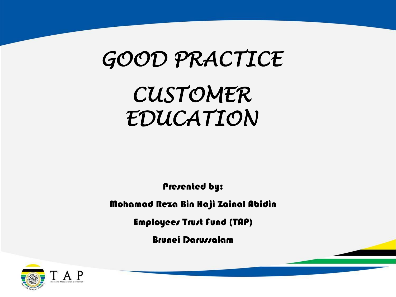# *GOOD PRACTICE*

# *CUSTOMER EDUCATION*

Presented by:

Mohamad Reza Bin Haji Zainal Abidin

Employees Trust Fund (TAP)

Brunei Darussalam

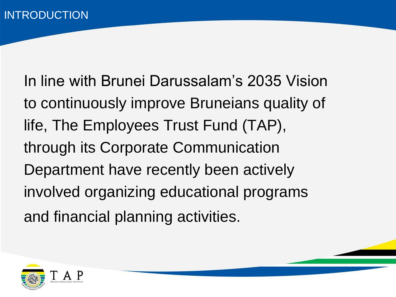In line with Brunei Darussalam's 2035 Vision to continuously improve Bruneians quality of life, The Employees Trust Fund (TAP), through its Corporate Communication Department have recently been actively involved organizing educational programs and financial planning activities.

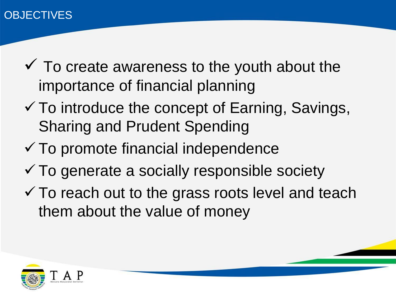- $\checkmark$  To create awareness to the youth about the importance of financial planning
- $\checkmark$  To introduce the concept of Earning, Savings, Sharing and Prudent Spending
- $\checkmark$  To promote financial independence
- $\checkmark$  To generate a socially responsible society
- $\checkmark$  To reach out to the grass roots level and teach them about the value of money

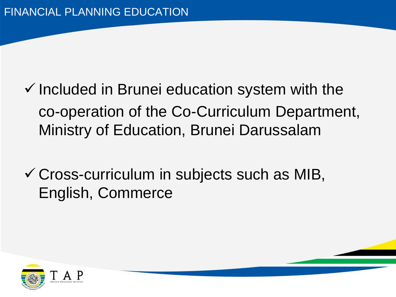- $\checkmark$  Included in Brunei education system with the co-operation of the Co-Curriculum Department, Ministry of Education, Brunei Darussalam
- $\checkmark$  Cross-curriculum in subjects such as MIB, English, Commerce

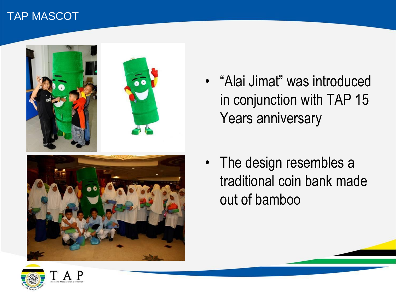### TAP MASCOT



- "Alai Jimat" was introduced in conjunction with TAP 15 Years anniversary
- The design resembles a traditional coin bank made out of bamboo

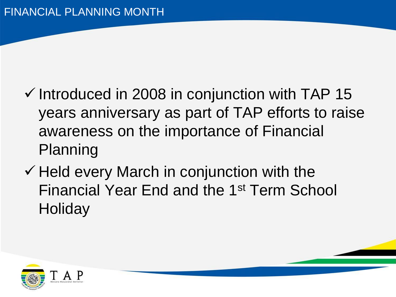- $\checkmark$  Introduced in 2008 in conjunction with TAP 15 years anniversary as part of TAP efforts to raise awareness on the importance of Financial Planning
- $\checkmark$  Held every March in conjunction with the Financial Year End and the 1st Term School **Holiday**

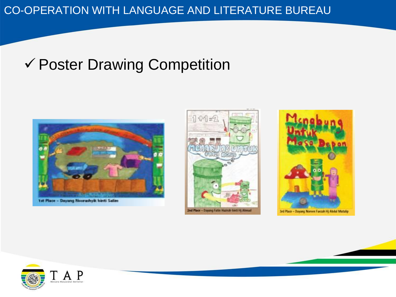# ✓ Poster Drawing Competition







![](_page_6_Picture_5.jpeg)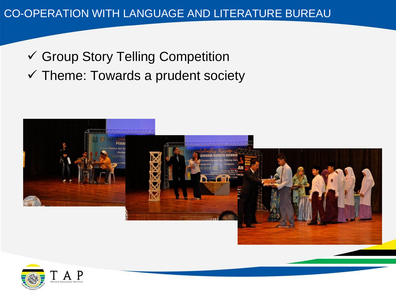# ✓ Group Story Telling Competition

 $\checkmark$  Theme: Towards a prudent society

![](_page_7_Picture_3.jpeg)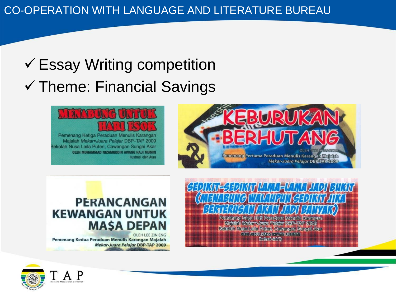# $\checkmark$  Essay Writing competition ✓ Theme: Financial Savings

**Ilustrasi oleh Aura** 

![](_page_8_Picture_2.jpeg)

![](_page_8_Picture_3.jpeg)

## **PERANCANGAN KEWANGAN UNTUK MASA DEPAN**

Pemenang Kedua Peraduan Menulis Karangan Majalah **Mekar-Juara Pelajar DBP-TAP 2009** 

![](_page_8_Picture_6.jpeg)

Mafalah MekaroJuara Pelatar DBP-TAP 2009 Sekolah Nusa Lafla Puteri, Cawangan Sungai Akar **OLEH ABDUL HAZIQ IKHWAN RUBIMAN** 

**Mustrasi oleh Tv** 

![](_page_8_Picture_9.jpeg)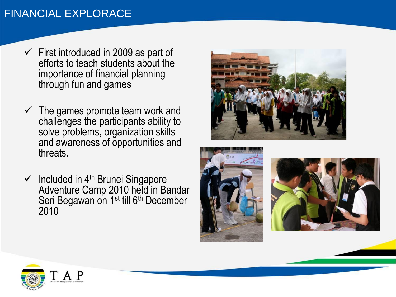## FINANCIAL EXPLORACE

- $\checkmark$  First introduced in 2009 as part of efforts to teach students about the importance of financial planning through fun and games
- $\checkmark$  The games promote team work and challenges the participants ability to solve problems, organization skills and awareness of opportunities and threats.
- $\checkmark$  Included in 4<sup>th</sup> Brunei Singapore Adventure Camp 2010 held in Bandar Seri Begawan on 1<sup>st</sup> till 6<sup>th</sup> December 2010

![](_page_9_Picture_4.jpeg)

![](_page_9_Picture_5.jpeg)

![](_page_9_Picture_6.jpeg)

![](_page_9_Picture_7.jpeg)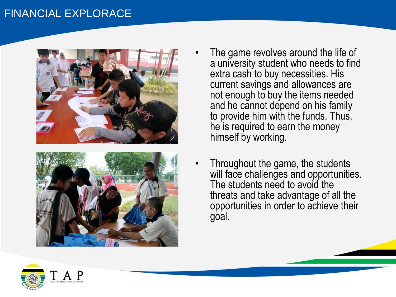### FINANCIAL EXPLORACE

![](_page_10_Picture_1.jpeg)

![](_page_10_Picture_2.jpeg)

- The game revolves around the life of a university student who needs to find extra cash to buy necessities. His current savings and allowances are not enough to buy the items needed and he cannot depend on his family to provide him with the funds. Thus, he is required to earn the money himself by working.
- Throughout the game, the students will face challenges and opportunities. The students need to avoid the threats and take advantage of all the opportunities in order to achieve their goal.

![](_page_10_Picture_5.jpeg)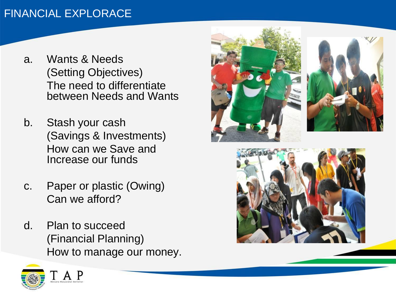## FINANCIAL EXPLORACE

- a. Wants & Needs (Setting Objectives) The need to differentiate between Needs and Wants
- b. Stash your cash (Savings & Investments) How can we Save and Increase our funds
- c. Paper or plastic (Owing) Can we afford?
- d. Plan to succeed (Financial Planning) How to manage our money.

![](_page_11_Picture_5.jpeg)

![](_page_11_Picture_6.jpeg)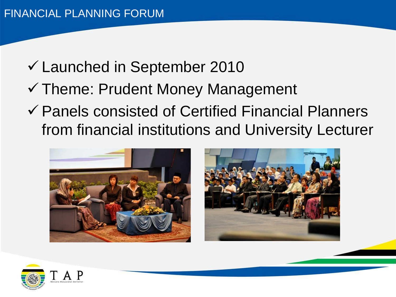- ✓ Launched in September 2010
- ✓ Theme: Prudent Money Management
- ✓ Panels consisted of Certified Financial Planners from financial institutions and University Lecturer

![](_page_12_Picture_4.jpeg)

![](_page_12_Picture_5.jpeg)

![](_page_12_Picture_6.jpeg)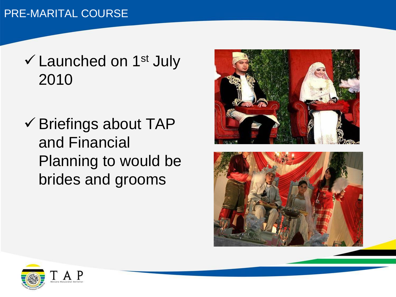## PRE-MARITAL COURSE

- $\checkmark$  Launched on 1<sup>st</sup> July 2010
- ✓ Briefings about TAP and Financial Planning to would be brides and grooms

![](_page_13_Picture_3.jpeg)

![](_page_13_Picture_4.jpeg)